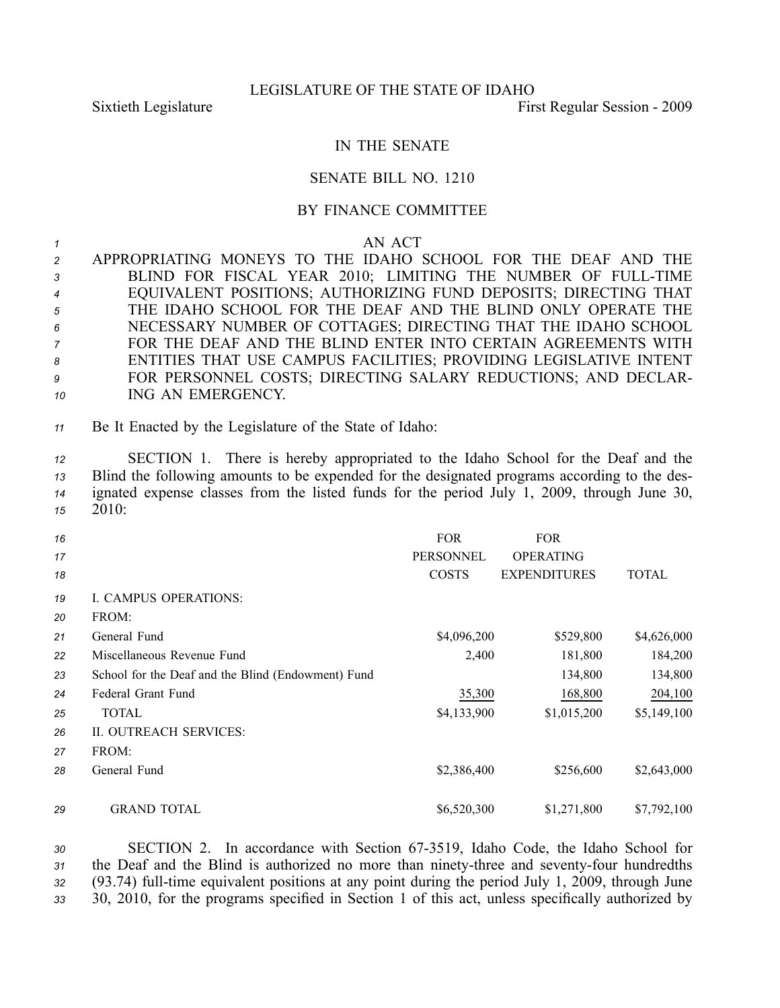## IN THE SENATE

## SENATE BILL NO. 1210

## BY FINANCE COMMITTEE

## *<sup>1</sup>* AN ACT

| $\overline{2}$ | APPROPRIATING MONEYS TO THE IDAHO SCHOOL FOR THE DEAF AND THE     |
|----------------|-------------------------------------------------------------------|
| $\mathbf{3}$   | BLIND FOR FISCAL YEAR 2010; LIMITING THE NUMBER OF FULL-TIME      |
| $\overline{4}$ | EQUIVALENT POSITIONS; AUTHORIZING FUND DEPOSITS; DIRECTING THAT   |
| 5              | THE IDAHO SCHOOL FOR THE DEAF AND THE BLIND ONLY OPERATE THE      |
| 6              | NECESSARY NUMBER OF COTTAGES; DIRECTING THAT THE IDAHO SCHOOL     |
| $\overline{7}$ | FOR THE DEAF AND THE BLIND ENTER INTO CERTAIN AGREEMENTS WITH     |
| 8              | ENTITIES THAT USE CAMPUS FACILITIES; PROVIDING LEGISLATIVE INTENT |
| 9              | FOR PERSONNEL COSTS; DIRECTING SALARY REDUCTIONS; AND DECLAR-     |
| 10             | ING AN EMERGENCY.                                                 |

*<sup>11</sup>* Be It Enacted by the Legislature of the State of Idaho:

 SECTION 1. There is hereby appropriated to the Idaho School for the Deaf and the Blind the following amounts to be expended for the designated programs according to the des- ignated expense classes from the listed funds for the period July 1, 2009, through June 30, *15* 2010:

| 16<br>17<br>18 |                                                    | <b>FOR</b><br><b>PERSONNEL</b><br><b>COSTS</b> | <b>FOR</b><br><b>OPERATING</b><br><b>EXPENDITURES</b> | <b>TOTAL</b> |
|----------------|----------------------------------------------------|------------------------------------------------|-------------------------------------------------------|--------------|
| 19             | <b>I. CAMPUS OPERATIONS:</b>                       |                                                |                                                       |              |
| 20             | FROM:                                              |                                                |                                                       |              |
| 21             | General Fund                                       | \$4,096,200                                    | \$529,800                                             | \$4,626,000  |
| 22             | Miscellaneous Revenue Fund                         | 2,400                                          | 181,800                                               | 184,200      |
| 23             | School for the Deaf and the Blind (Endowment) Fund |                                                | 134,800                                               | 134,800      |
| 24             | Federal Grant Fund                                 | 35,300                                         | 168,800                                               | 204,100      |
| 25             | <b>TOTAL</b>                                       | \$4,133,900                                    | \$1,015,200                                           | \$5,149,100  |
| 26             | II. OUTREACH SERVICES:                             |                                                |                                                       |              |
| 27             | FROM:                                              |                                                |                                                       |              |
| 28             | General Fund                                       | \$2,386,400                                    | \$256,600                                             | \$2,643,000  |
|                |                                                    |                                                |                                                       |              |
| 29             | <b>GRAND TOTAL</b>                                 | \$6,520,300                                    | \$1,271,800                                           | \$7,792,100  |

30 SECTION 2. In accordance with Section 67-3519, Idaho Code, the Idaho School for 31 the Deaf and the Blind is authorized no more than ninety-three and seventy-four hundredths 32 (93.74) full-time equivalent positions at any point during the period July 1, 2009, through June *<sup>33</sup>* 30, 2010, for the programs specified in Section 1 of this act, unless specifically authorized by